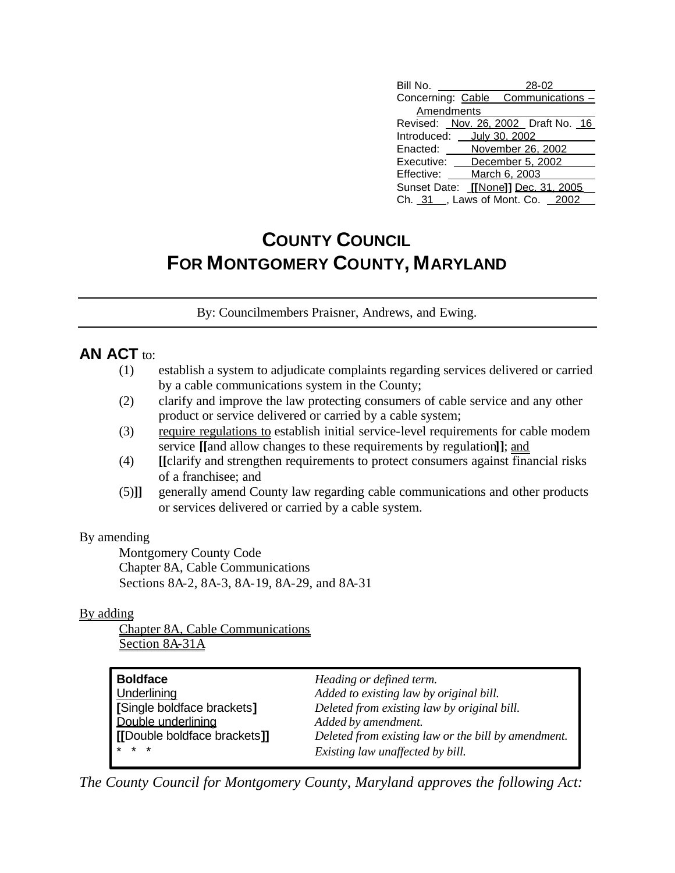| Bill No.<br>28-02                   |
|-------------------------------------|
| Concerning: Cable Communications -  |
| Amendments                          |
| Revised: Nov. 26, 2002 Draft No. 16 |
| Introduced: __ July 30, 2002        |
| November 26, 2002<br>Enacted:       |
| Executive: December 5, 2002         |
| Effective: March 6, 2003            |
| Sunset Date: [[None]] Dec. 31, 2005 |
| Ch. 31 , Laws of Mont. Co. 2002     |

# **COUNTY COUNCIL FOR MONTGOMERY COUNTY, MARYLAND**

By: Councilmembers Praisner, Andrews, and Ewing.

### **AN ACT** to:

- (1) establish a system to adjudicate complaints regarding services delivered or carried by a cable communications system in the County;
- (2) clarify and improve the law protecting consumers of cable service and any other product or service delivered or carried by a cable system;
- (3) require regulations to establish initial service-level requirements for cable modem service **[[**and allow changes to these requirements by regulation**]]**; and
- (4) **[[**clarify and strengthen requirements to protect consumers against financial risks of a franchisee; and
- (5)**]]** generally amend County law regarding cable communications and other products or services delivered or carried by a cable system.

#### By amending

Montgomery County Code Chapter 8A, Cable Communications Sections 8A-2, 8A-3, 8A-19, 8A-29, and 8A-31

#### By adding

Chapter 8A, Cable Communications Section 8A-31A

| <b>Boldface</b>              | Heading or defined term.                            |
|------------------------------|-----------------------------------------------------|
| Underlining                  | Added to existing law by original bill.             |
| [Single boldface brackets]   | Deleted from existing law by original bill.         |
| Double underlining           | Added by amendment.                                 |
| [[Double boldface brackets]] | Deleted from existing law or the bill by amendment. |
| $* * *$                      | Existing law unaffected by bill.                    |

*The County Council for Montgomery County, Maryland approves the following Act:*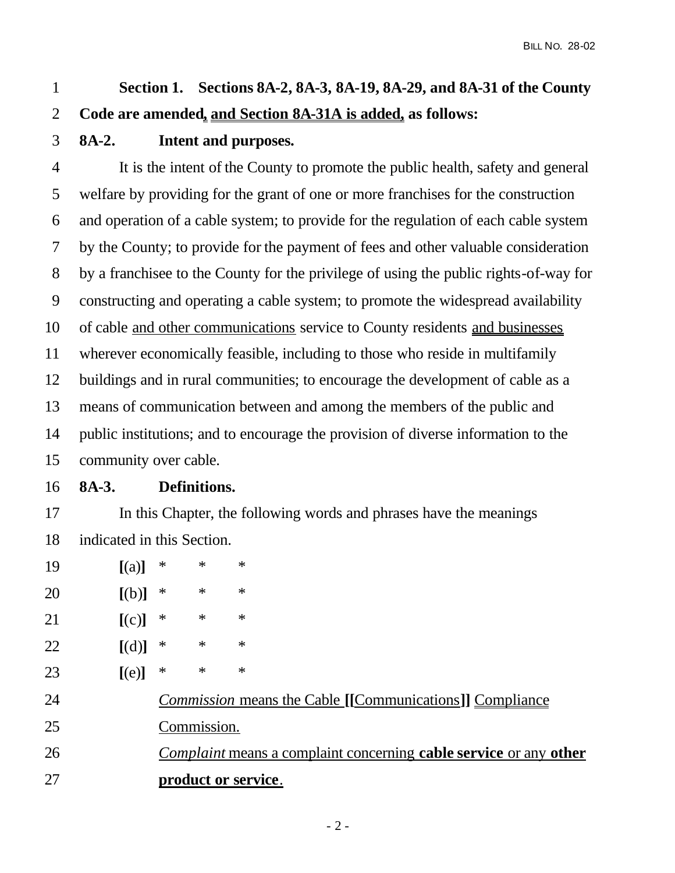# **Section 1. Sections 8A-2, 8A-3, 8A-19, 8A-29, and 8A-31 of the County Code are amended, and Section 8A-31A is added, as follows:**

## **8A-2. Intent and purposes.**

 It is the intent of the County to promote the public health, safety and general welfare by providing for the grant of one or more franchises for the construction and operation of a cable system; to provide for the regulation of each cable system by the County; to provide for the payment of fees and other valuable consideration by a franchisee to the County for the privilege of using the public rights-of-way for constructing and operating a cable system; to promote the widespread availability of cable and other communications service to County residents and businesses wherever economically feasible, including to those who reside in multifamily buildings and in rural communities; to encourage the development of cable as a means of communication between and among the members of the public and public institutions; and to encourage the provision of diverse information to the community over cable.

### **8A-3. Definitions.**

 In this Chapter, the following words and phrases have the meanings indicated in this Section.

- **[**(a)**]** \* \* \*
- **[**(b)**]** \* \* \*
- **[**(c)**]** \* \* \*
- **[**(d)**]** \* \* \*
- **[**(e)**]** \* \* \*
- *Commission* means the Cable **[[**Communications**]]** Compliance
- Commission.
- *Complaint* means a complaint concerning **cable service** or any **other product or service**.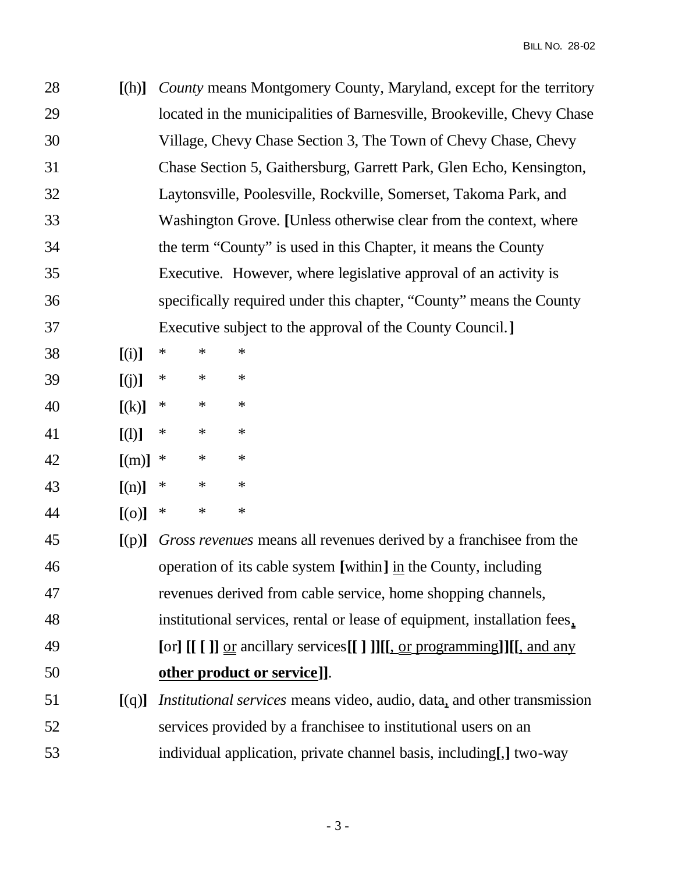| 28 | [(h)]    |        |        | County means Montgomery County, Maryland, except for the territory     |
|----|----------|--------|--------|------------------------------------------------------------------------|
| 29 |          |        |        | located in the municipalities of Barnesville, Brookeville, Chevy Chase |
| 30 |          |        |        | Village, Chevy Chase Section 3, The Town of Chevy Chase, Chevy         |
| 31 |          |        |        | Chase Section 5, Gaithersburg, Garrett Park, Glen Echo, Kensington,    |
| 32 |          |        |        | Laytonsville, Poolesville, Rockville, Somerset, Takoma Park, and       |
| 33 |          |        |        | Washington Grove. [Unless otherwise clear from the context, where      |
| 34 |          |        |        | the term "County" is used in this Chapter, it means the County         |
| 35 |          |        |        | Executive. However, where legislative approval of an activity is       |
| 36 |          |        |        | specifically required under this chapter, "County" means the County    |
| 37 |          |        |        | Executive subject to the approval of the County Council.               |
| 38 | [(i)]    | $\ast$ | $\ast$ | $\ast$                                                                 |
| 39 | [(j)]    | $\ast$ | $\ast$ | $\ast$                                                                 |
| 40 | [(k)]    | $\ast$ | $\ast$ | $\ast$                                                                 |
| 41 | [(1)]    | $\ast$ | $\ast$ | $\ast$                                                                 |
| 42 | [(m)]    | ∗      | $\ast$ | $\ast$                                                                 |
| 43 | [(n)]    | ∗      | $\ast$ | $\ast$                                                                 |
| 44 | $[$ (o)] | ∗      | $\ast$ | $\ast$                                                                 |
|    |          |        |        |                                                                        |

 **[**(p)**]** *Gross revenues* means all revenues derived by a franchisee from the operation of its cable system **[**within**]** in the County, including revenues derived from cable service, home shopping channels, institutional services, rental or lease of equipment, installation fees, **[**or**] [[ [ ]]** or ancillary services**[[ ] ]][[**, or programming**]][[**, and any **other product or service]]**. **[**(q)**]** *Institutional services* means video, audio, data, and other transmission services provided by a franchisee to institutional users on an individual application, private channel basis, including**[**,**]** two-way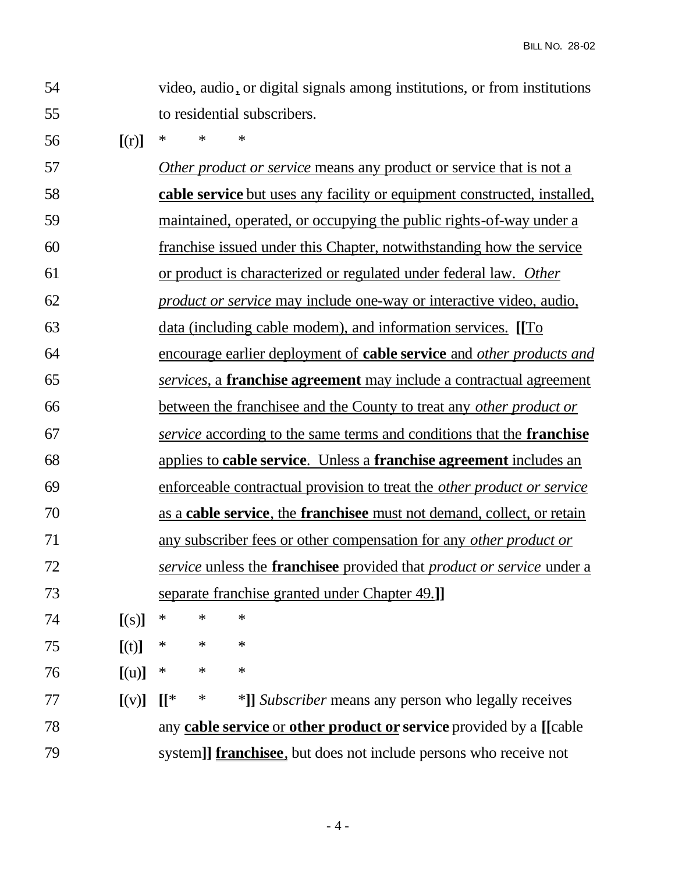- video, audio, or digital signals among institutions, or from institutions to residential subscribers.
- **[**(r)**]** \* \* \*

 *Other product or service* means any product or service that is not a **cable service** but uses any facility or equipment constructed, installed, maintained, operated, or occupying the public rights-of-way under a franchise issued under this Chapter, notwithstanding how the service or product is characterized or regulated under federal law. *Other product or service* may include one-way or interactive video, audio, data (including cable modem), and information services. **[[**To encourage earlier deployment of **cable service** and *other products and services*, a **franchise agreement** may include a contractual agreement between the franchisee and the County to treat any *other product or service* according to the same terms and conditions that the **franchise** applies to **cable service**. Unless a **franchise agreement** includes an enforceable contractual provision to treat the *other product or service* as a **cable service**, the **franchisee** must not demand, collect, or retain any subscriber fees or other compensation for any *other product or service* unless the **franchisee** provided that *product or service* under a separate franchise granted under Chapter 49.**]] [**(s)**]** \* \* \* **[**(t)**]** \* \* \* **[**(u)**]** \* \* \* **[**(v)**] [[**\* \* \***]]** *Subscriber* means any person who legally receives

 any **cable service** or **other product or service** provided by a **[[**cable system**]] franchisee**, but does not include persons who receive not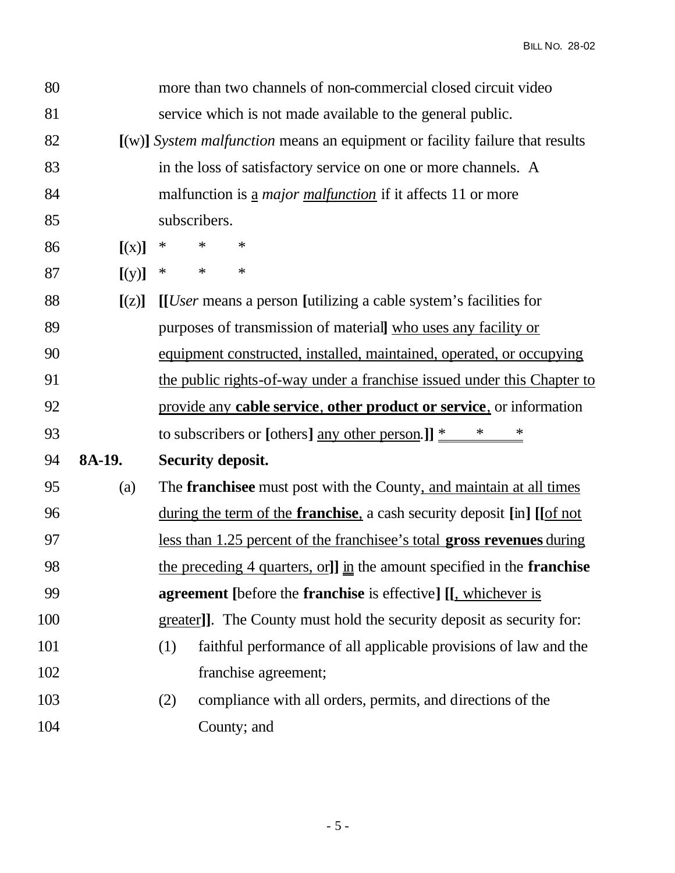BILL NO. 28-02

| 80  |        | more than two channels of non-commercial closed circuit video                   |
|-----|--------|---------------------------------------------------------------------------------|
| 81  |        | service which is not made available to the general public.                      |
| 82  |        | $[(w)]$ System malfunction means an equipment or facility failure that results  |
| 83  |        | in the loss of satisfactory service on one or more channels. A                  |
| 84  |        | malfunction is <u>a</u> <i>major malfunction</i> if it affects 11 or more       |
| 85  |        | subscribers.                                                                    |
| 86  | [(x)]  | $\ast$<br>$\ast$<br>$\ast$                                                      |
| 87  | [(y)]  | $\ast$<br>$\ast$<br>$\ast$                                                      |
| 88  | [(z)]  | [ <i>User</i> means a person [utilizing a cable system's facilities for         |
| 89  |        | purposes of transmission of materiall who uses any facility or                  |
| 90  |        | equipment constructed, installed, maintained, operated, or occupying            |
| 91  |        | the public rights-of-way under a franchise issued under this Chapter to         |
| 92  |        | provide any cable service, other product or service, or information             |
| 93  |        | to subscribers or [others] <u>any other person</u> .]] $*$ * *                  |
| 94  | 8A-19. | <b>Security deposit.</b>                                                        |
| 95  | (a)    | The <b>franchisee</b> must post with the County, and maintain at all times      |
| 96  |        | during the term of the <b>franchise</b> , a cash security deposit [in] [[of not |
| 97  |        | <u>less than 1.25 percent of the franchisee's total gross revenues during</u>   |
| 98  |        | the preceding 4 quarters, or]] in the amount specified in the <b>franchise</b>  |
| 99  |        | <b>agreement</b> [before the <b>franchise</b> is effective] [[, whichever is    |
| 100 |        | greater]]. The County must hold the security deposit as security for:           |
| 101 |        | (1)<br>faithful performance of all applicable provisions of law and the         |
| 102 |        | franchise agreement;                                                            |
| 103 |        | compliance with all orders, permits, and directions of the<br>(2)               |
| 104 |        | County; and                                                                     |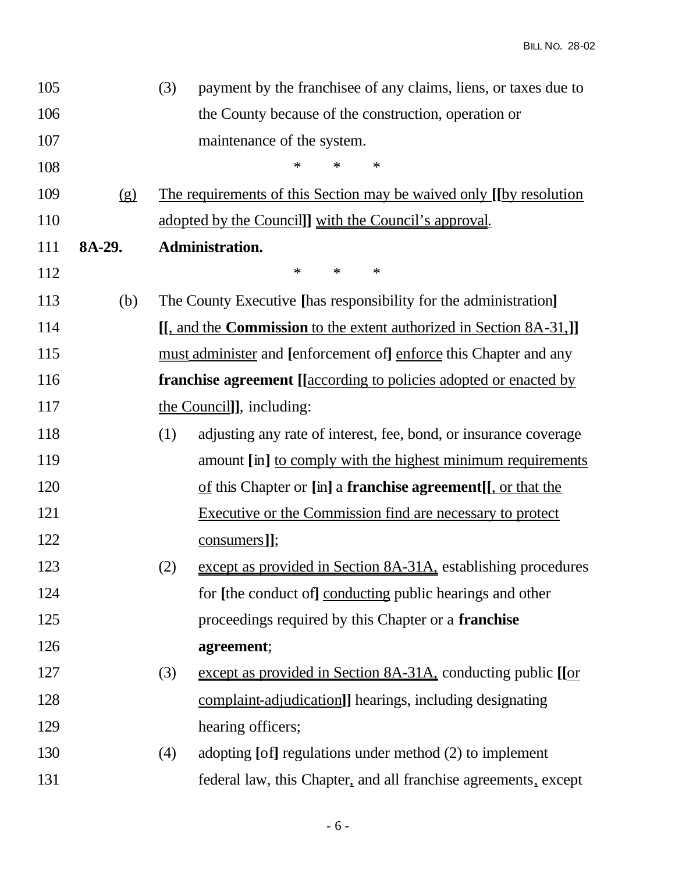| 105 |        | (3) | payment by the franchise of any claims, liens, or taxes due to                   |
|-----|--------|-----|----------------------------------------------------------------------------------|
| 106 |        |     | the County because of the construction, operation or                             |
| 107 |        |     | maintenance of the system.                                                       |
| 108 |        |     | ∗<br>$\ast$<br>∗                                                                 |
| 109 | (g)    |     | <u>The requirements of this Section may be waived only [[by resolution</u>       |
| 110 |        |     | <u>adopted by the Council] with the Council's approval.</u>                      |
| 111 | 8A-29. |     | Administration.                                                                  |
| 112 |        |     | $\ast$<br>$\ast$<br>∗                                                            |
| 113 | (b)    |     | The County Executive [has responsibility for the administration]                 |
| 114 |        |     | [[, and the <b>Commission</b> to the extent authorized in Section 8A-31,]]       |
| 115 |        |     | <u>must</u> administer and [enforcement of] enforce this Chapter and any         |
| 116 |        |     | <b>franchise agreement</b> [ <i>[according to policies adopted or enacted by</i> |
| 117 |        |     | the Council]], including:                                                        |
| 118 |        | (1) | adjusting any rate of interest, fee, bond, or insurance coverage                 |
| 119 |        |     | amount [in] to comply with the highest minimum requirements                      |
| 120 |        |     | of this Chapter or [in] a <b>franchise agreement</b> [[, or that the             |
| 121 |        |     | <b>Executive or the Commission find are necessary to protect</b>                 |
| 122 |        |     | consumers]];                                                                     |
| 123 |        | (2) | except as provided in Section 8A-31A, establishing procedures                    |
| 124 |        |     | for [the conduct of] conducting public hearings and other                        |
| 125 |        |     | proceedings required by this Chapter or a franchise                              |
| 126 |        |     | agreement;                                                                       |
| 127 |        | (3) | except as provided in Section 8A-31A, conducting public [[or                     |
| 128 |        |     | complaint-adjudication]] hearings, including designating                         |
| 129 |        |     | hearing officers;                                                                |
| 130 |        | (4) | adopting [of] regulations under method (2) to implement                          |
| 131 |        |     | federal law, this Chapter, and all franchise agreements, except                  |
|     |        |     |                                                                                  |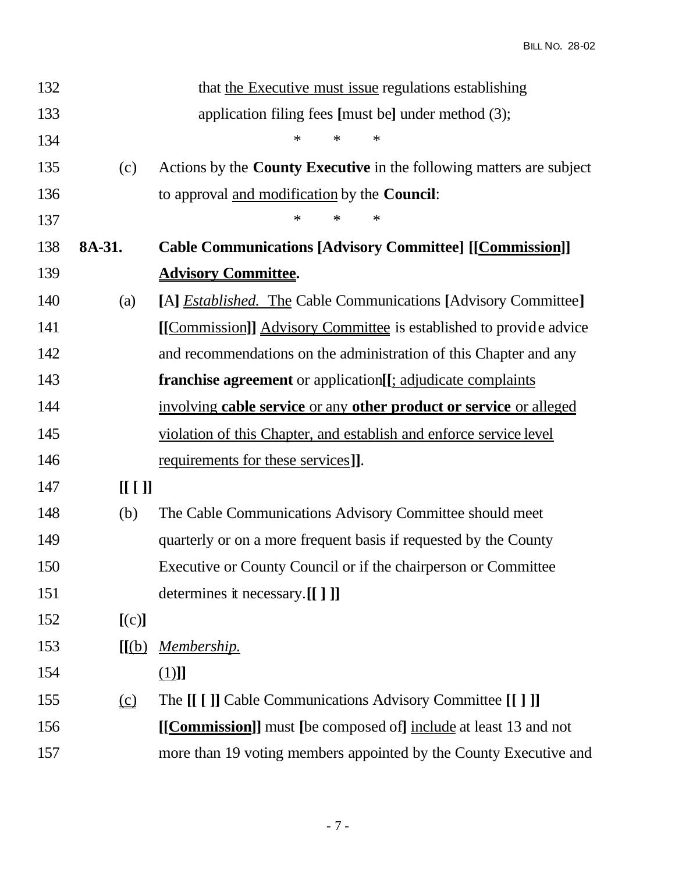| 132 |          | that the Executive must issue regulations establishing                      |
|-----|----------|-----------------------------------------------------------------------------|
| 133 |          | application filing fees [must be] under method (3);                         |
| 134 |          | $\ast$<br>∗<br>∗                                                            |
| 135 | (c)      | Actions by the <b>County Executive</b> in the following matters are subject |
| 136 |          | to approval and modification by the <b>Council</b> :                        |
| 137 |          | $\ast$<br>$\ast$<br>∗                                                       |
| 138 | 8A-31.   | <b>Cable Communications [Advisory Committee] [[Commission]]</b>             |
| 139 |          | <b>Advisory Committee.</b>                                                  |
| 140 | (a)      | [A] <i>Established.</i> The Cable Communications [Advisory Committee]       |
| 141 |          | [[Commission]] Advisory Committee is established to provide advice          |
| 142 |          | and recommendations on the administration of this Chapter and any           |
| 143 |          | <b>franchise agreement</b> or application[[; adjudicate complaints]         |
| 144 |          | involving cable service or any other product or service or alleged          |
| 145 |          | violation of this Chapter, and establish and enforce service level          |
| 146 |          | <u>requirements</u> for these services].                                    |
| 147 | [[[]]    |                                                                             |
| 148 | (b)      | The Cable Communications Advisory Committee should meet                     |
| 149 |          | quarterly or on a more frequent basis if requested by the County            |
| 150 |          | Executive or County Council or if the chairperson or Committee              |
| 151 |          | determines it necessary.[[ ] ]]                                             |
| 152 | [(c)]    |                                                                             |
| 153 | [[(b)]   | <u>Membership.</u>                                                          |
| 154 |          | <u>(1)</u> ]]                                                               |
| 155 | $\Omega$ | The [[ [ ]] Cable Communications Advisory Committee [[ ] ]]                 |
| 156 |          | [[Commission]] must [be composed of] include at least 13 and not            |
| 157 |          | more than 19 voting members appointed by the County Executive and           |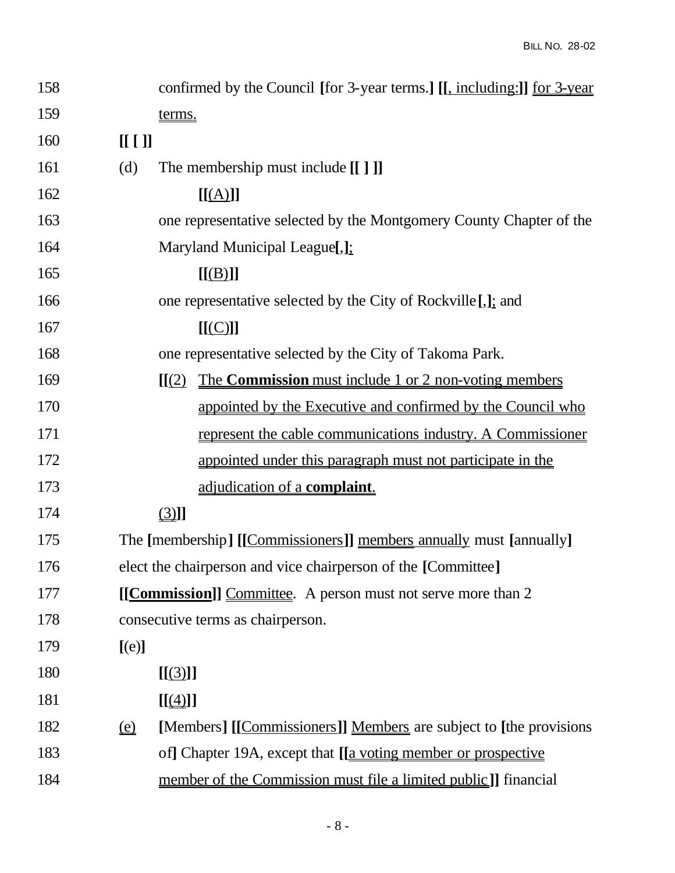| 158 | confirmed by the Council [for 3-year terms.] [[, including:]] <u>for 3-year</u>             |  |
|-----|---------------------------------------------------------------------------------------------|--|
| 159 | terms.                                                                                      |  |
| 160 | [[[]]                                                                                       |  |
| 161 | (d)<br>The membership must include [[ ] ]                                                   |  |
| 162 | [[(A)]]                                                                                     |  |
| 163 | one representative selected by the Montgomery County Chapter of the                         |  |
| 164 | Maryland Municipal League[,];                                                               |  |
| 165 | [[(B)]]                                                                                     |  |
| 166 | one representative selected by the City of Rockville [.]; and                               |  |
| 167 | [[(C)]]                                                                                     |  |
| 168 | one representative selected by the City of Takoma Park.                                     |  |
| 169 | The <b>Commission</b> must include 1 or 2 non-voting members<br>[[(2)]                      |  |
| 170 | appointed by the Executive and confirmed by the Council who                                 |  |
| 171 | represent the cable communications industry. A Commissioner                                 |  |
| 172 | appointed under this paragraph must not participate in the                                  |  |
| 173 | adjudication of a complaint.                                                                |  |
| 174 | $\Box$                                                                                      |  |
| 175 | The [membership] [[Commissioners]] members annually must [annually]                         |  |
| 176 | elect the chairperson and vice chairperson of the [Committee]                               |  |
| 177 | [[Commission]] Committee. A person must not serve more than 2                               |  |
| 178 | consecutive terms as chairperson.                                                           |  |
| 179 | [(e)]                                                                                       |  |
| 180 | [[(3)]]                                                                                     |  |
| 181 | $[[\underline{(4)}]]$                                                                       |  |
| 182 | [Members] [[Commissioners]] Members are subject to [the provisions]<br>$\underline{\omega}$ |  |
| 183 | of] Chapter 19A, except that [ <u>[a voting member or prospective</u>                       |  |
| 184 | member of the Commission must file a limited public]] financial                             |  |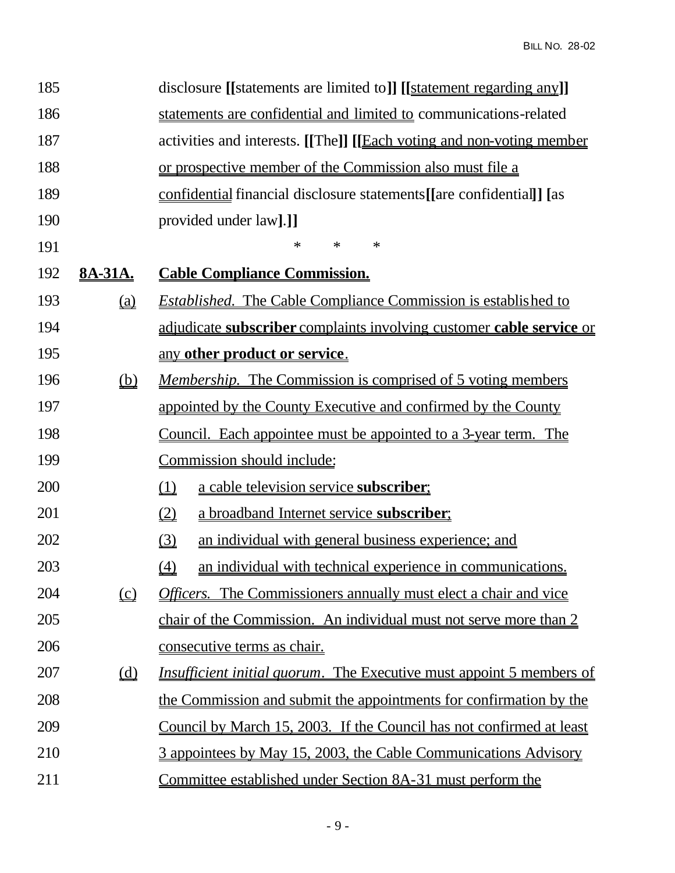| 185 |                                                   | disclosure [[statements are limited to]] [[statement regarding any]]                      |
|-----|---------------------------------------------------|-------------------------------------------------------------------------------------------|
| 186 |                                                   | statements are confidential and limited to communications-related                         |
| 187 |                                                   | activities and interests. [[The]] [[Each voting and non-voting member                     |
| 188 |                                                   | or prospective member of the Commission also must file a                                  |
| 189 |                                                   | confidential financial disclosure statements[[are confidential]] [as                      |
| 190 |                                                   | provided under law].]]                                                                    |
| 191 |                                                   | $\ast$<br>∗<br>$\ast$                                                                     |
| 192 | <u>8A-31A.</u>                                    | <b>Cable Compliance Commission.</b>                                                       |
| 193 |                                                   | <b>Established.</b> The Cable Compliance Commission is established to                     |
| 194 |                                                   | adjudicate subscriber complaints involving customer cable service or                      |
| 195 |                                                   | any other product or service.                                                             |
| 196 | $\underline{\underline{\left(\mathbf{b}\right)}}$ | <u>Membership. The Commission is comprised of 5 voting members</u>                        |
| 197 |                                                   | appointed by the County Executive and confirmed by the County                             |
| 198 |                                                   | <u>Council. Each appointee must be appointed to a 3-year term. The</u>                    |
| 199 |                                                   | Commission should include:                                                                |
| 200 |                                                   | a cable television service subscriber;<br>$\underline{\underline{11}}$                    |
| 201 |                                                   | a broadband Internet service subscriber;<br>$\underline{\textcircled{2}}$                 |
| 202 |                                                   | $\underline{\textcircled{3}}$<br>an individual with general business experience; and      |
| 203 |                                                   | (4)<br>an individual with technical experience in communications.                         |
| 204 | $\underline{\underline{(c)}}$                     | <b>Officers.</b> The Commissioners annually must elect a chair and vice                   |
| 205 |                                                   | chair of the Commission. An individual must not serve more than 2                         |
| 206 |                                                   | <u>consecutive terms as chair.</u>                                                        |
| 207 |                                                   | <i><u><b>Insufficient initial quorum. The Executive must appoint 5 members of</b></u></i> |
| 208 |                                                   | the Commission and submit the appointments for confirmation by the                        |
| 209 |                                                   | <u>Council by March 15, 2003. If the Council has not confirmed at least</u>               |
| 210 |                                                   | 3 appointees by May 15, 2003, the Cable Communications Advisory                           |
| 211 |                                                   | <u>Committee established under Section 8A-31 must perform the</u>                         |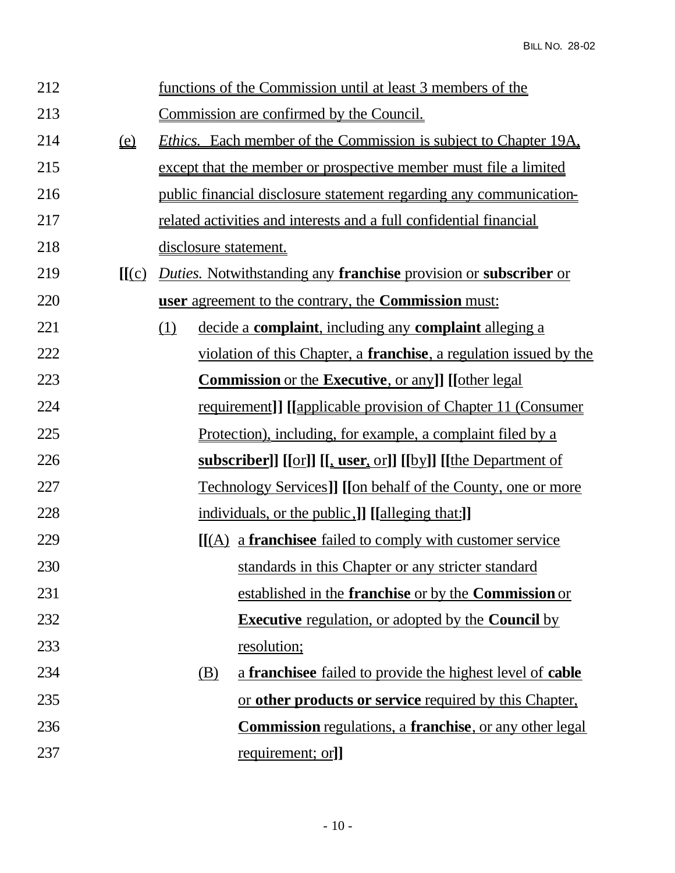| 212 |                      |                              | functions of the Commission until at least 3 members of the                |
|-----|----------------------|------------------------------|----------------------------------------------------------------------------|
| 213 |                      |                              | Commission are confirmed by the Council.                                   |
| 214 | $\underline{\Omega}$ |                              | <i>Ethics.</i> Each member of the Commission is subject to Chapter 19A,    |
| 215 |                      |                              | except that the member or prospective member must file a limited           |
| 216 |                      |                              | <u>public financial disclosure statement regarding any communication-</u>  |
| 217 |                      |                              | <u>related activities and interests and a full confidential financial</u>  |
| 218 |                      | <u>disclosure</u> statement. |                                                                            |
| 219 | [[(c)]               |                              | <b>Duties.</b> Notwithstanding any franchise provision or subscriber or    |
| 220 |                      |                              | user agreement to the contrary, the Commission must:                       |
| 221 |                      | (1)                          | decide a complaint, including any complaint alleging a                     |
| 222 |                      |                              | violation of this Chapter, a <b>franchise</b> , a regulation issued by the |
| 223 |                      |                              | <b>Commission</b> or the <b>Executive</b> , or any]] [[other legal]        |
| 224 |                      |                              | requirement]] [[applicable provision of Chapter 11 (Consumer               |
| 225 |                      |                              | <u>Protection), including, for example, a complaint filed by a</u>         |
| 226 |                      |                              | subscriber]] [[or]] [[, user, or]] [[by]] [[the Department of              |
| 227 |                      |                              | <u>Technology Services]</u> [[on behalf of the County, one or more         |
| 228 |                      |                              | individuals, or the public, I [[alleging that:]]                           |
| 229 |                      |                              | <u>[[(A) a franchise failed to comply with customer service</u>            |
| 230 |                      |                              | standards in this Chapter or any stricter standard                         |
| 231 |                      |                              | established in the <b>franchise</b> or by the <b>Commission</b> or         |
| 232 |                      |                              | <b>Executive</b> regulation, or adopted by the <b>Council</b> by           |
| 233 |                      |                              | <u>resolution;</u>                                                         |
| 234 |                      | <u>(B)</u>                   | a franchise failed to provide the highest level of cable                   |
| 235 |                      |                              | or other products or service required by this Chapter,                     |
| 236 |                      |                              | <b>Commission</b> regulations, a <b>franchise</b> , or any other legal     |
| 237 |                      |                              | requirement; or]]                                                          |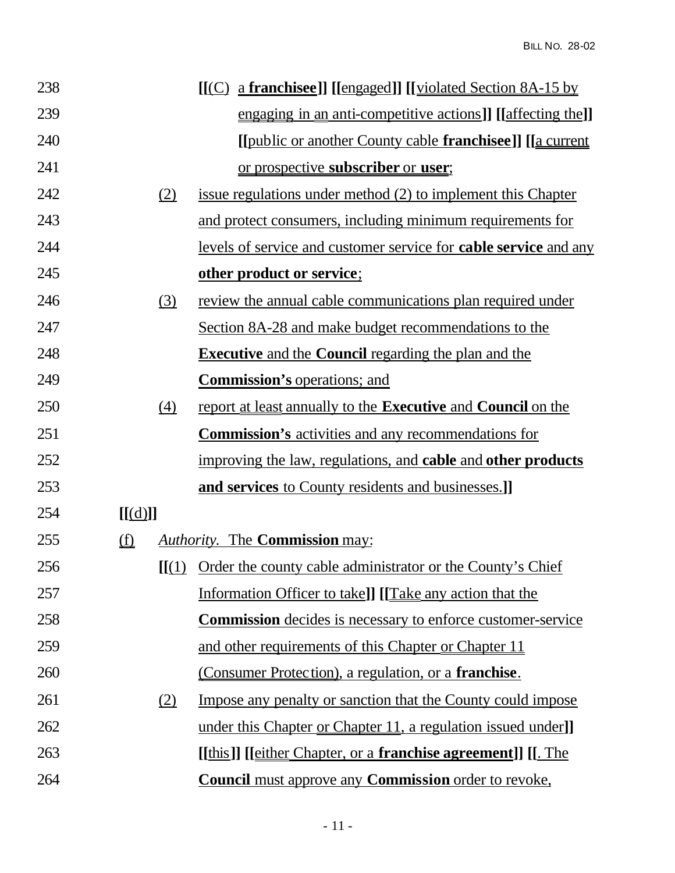| 238 |                               |                  | <u>[[(C) a franchisee]]</u> [[engaged]] [[violated Section 8A-15 by        |
|-----|-------------------------------|------------------|----------------------------------------------------------------------------|
| 239 |                               |                  | engaging in an anti-competitive actions]] [[affecting the]]                |
| 240 |                               |                  | [[public or another County cable <b>franchisee</b> ]] [[a current          |
| 241 |                               |                  | or prospective <b>subscriber</b> or <b>user</b> ;                          |
| 242 |                               | (2)              | issue regulations under method (2) to implement this Chapter               |
| 243 |                               |                  | and protect consumers, including minimum requirements for                  |
| 244 |                               |                  | levels of service and customer service for <b>cable service</b> and any    |
| 245 |                               |                  | other product or service;                                                  |
| 246 |                               | (3)              | review the annual cable communications plan required under                 |
| 247 |                               |                  | Section 8A-28 and make budget recommendations to the                       |
| 248 |                               |                  | <b>Executive</b> and the <b>Council</b> regarding the plan and the         |
| 249 |                               |                  | <b>Commission's operations; and</b>                                        |
| 250 |                               | $\left(4\right)$ | report at least annually to the <b>Executive</b> and <b>Council</b> on the |
| 251 |                               |                  | <b>Commission's</b> activities and any recommendations for                 |
| 252 |                               |                  | improving the law, regulations, and cable and other products               |
| 253 |                               |                  | and services to County residents and businesses.]                          |
| 254 | [[(d)]]                       |                  |                                                                            |
| 255 | $\underline{\textcircled{f}}$ |                  | <b>Authority.</b> The <b>Commission</b> may:                               |
| 256 |                               |                  | [[(1) Order the county cable administrator or the County's Chief           |
| 257 |                               |                  | Information Officer to take]] [[Take any action that the                   |
| 258 |                               |                  | <b>Commission</b> decides is necessary to enforce customer-service         |
| 259 |                               |                  | and other requirements of this Chapter or Chapter 11                       |
| 260 |                               |                  | <u>(Consumer Protection), a regulation, or a franchise.</u>                |
| 261 |                               | (2)              | Impose any penalty or sanction that the County could impose                |
| 262 |                               |                  | under this Chapter or Chapter 11, a regulation issued under]               |
| 263 |                               |                  | <u>[[this]] [[either Chapter, or a franchise agreement]] [[. The</u>       |
| 264 |                               |                  | <b>Council</b> must approve any <b>Commission</b> order to revoke,         |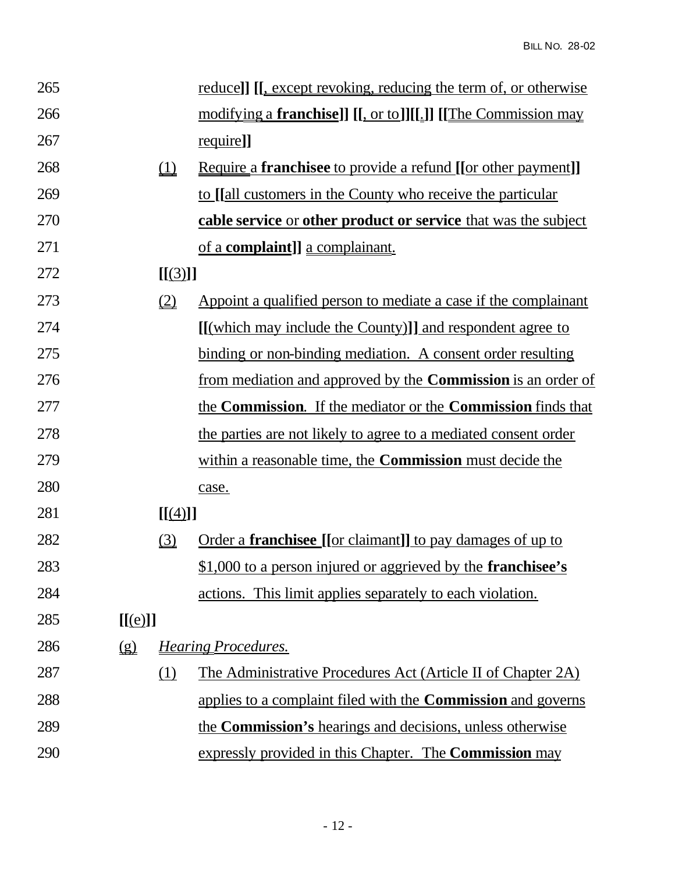| 265 |                      |                               | reduce]] [[, except revoking, reducing the term of, or otherwise             |
|-----|----------------------|-------------------------------|------------------------------------------------------------------------------|
| 266 |                      |                               | <u>modifying a franchise]] [[, or to]][[.]] [[The Commission may</u>         |
| 267 |                      |                               | <u>require</u> ]]                                                            |
| 268 |                      | $\underline{\underline{u}}$   | <u>Require a franchise to provide a refund [[or other payment]]</u>          |
| 269 |                      |                               | to [[all customers in the County who receive the particular                  |
| 270 |                      |                               | <b>cable service</b> or <b>other product or service</b> that was the subject |
| 271 |                      |                               | <u>of a <b>complaint</b>]</u> a complainant.                                 |
| 272 |                      | [[(3)]]                       |                                                                              |
| 273 |                      | $\underline{\textcircled{2}}$ | Appoint a qualified person to mediate a case if the complainant              |
| 274 |                      |                               | <u>[[(which may include the County)]] and respondent agree to</u>            |
| 275 |                      |                               | binding or non-binding mediation. A consent order resulting                  |
| 276 |                      |                               | from mediation and approved by the <b>Commission</b> is an order of          |
| 277 |                      |                               | the <b>Commission</b> . If the mediator or the <b>Commission</b> finds that  |
| 278 |                      |                               | the parties are not likely to agree to a mediated consent order              |
| 279 |                      |                               | within a reasonable time, the <b>Commission</b> must decide the              |
| 280 |                      |                               | case.                                                                        |
| 281 |                      | [[(4)]]                       |                                                                              |
| 282 |                      | $\underline{\textcircled{3}}$ | <u>Order a <b>franchisee</b> [[or claimant]] to pay damages of up to</u>     |
| 283 |                      |                               | \$1,000 to a person injured or aggrieved by the <b>franchisee's</b>          |
| 284 |                      |                               | actions. This limit applies separately to each violation.                    |
| 285 | [[(e)]]              |                               |                                                                              |
| 286 | $\underline{\Omega}$ |                               | <u>Hearing Procedures.</u>                                                   |
| 287 |                      | <u>(1)</u>                    | The Administrative Procedures Act (Article II of Chapter 2A)                 |
| 288 |                      |                               | applies to a complaint filed with the <b>Commission</b> and governs          |
| 289 |                      |                               | the <b>Commission's</b> hearings and decisions, unless otherwise             |
| 290 |                      |                               | expressly provided in this Chapter. The <b>Commission</b> may                |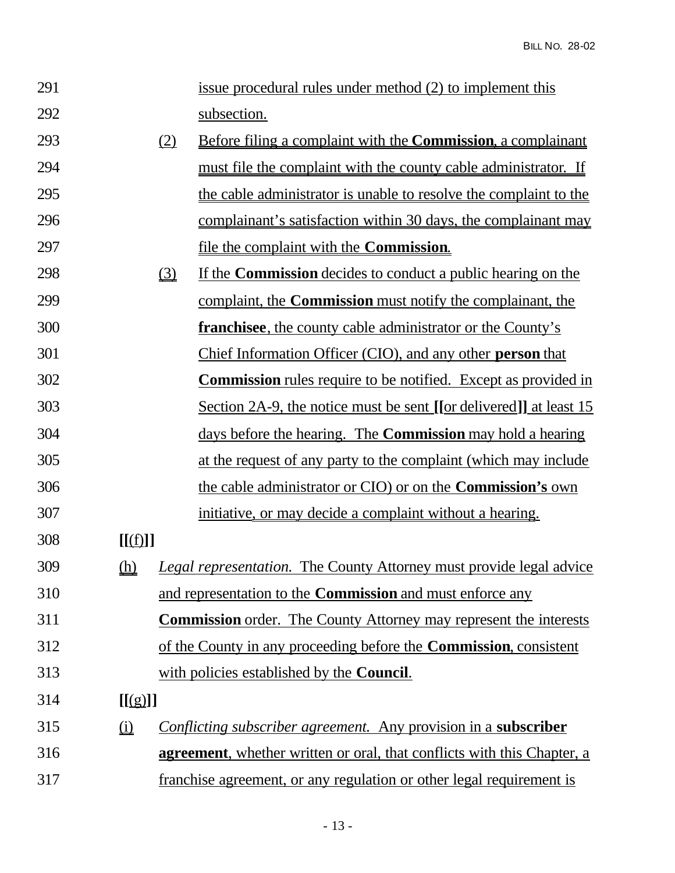| 291 |                                |                               | issue procedural rules under method (2) to implement this                       |
|-----|--------------------------------|-------------------------------|---------------------------------------------------------------------------------|
| 292 |                                |                               | subsection.                                                                     |
| 293 |                                | (2)                           | <u>Before filing a complaint with the <b>Commission</b>, a complainant</u>      |
| 294 |                                |                               | must file the complaint with the county cable administrator. If                 |
| 295 |                                |                               | the cable administrator is unable to resolve the complaint to the               |
| 296 |                                |                               | complainant's satisfaction within 30 days, the complainant may                  |
| 297 |                                |                               | file the complaint with the <b>Commission</b> .                                 |
| 298 |                                | $\underline{\textcircled{3}}$ | If the <b>Commission</b> decides to conduct a public hearing on the             |
| 299 |                                |                               | complaint, the <b>Commission</b> must notify the complainant, the               |
| 300 |                                |                               | <b>franchisee</b> , the county cable administrator or the County's              |
| 301 |                                |                               | Chief Information Officer (CIO), and any other person that                      |
| 302 |                                |                               | <b>Commission</b> rules require to be notified. Except as provided in           |
| 303 |                                |                               | <u>Section 2A-9, the notice must be sent [[or delivered]] at least 15</u>       |
| 304 |                                |                               | days before the hearing. The <b>Commission</b> may hold a hearing               |
| 305 |                                |                               | at the request of any party to the complaint (which may include                 |
| 306 |                                |                               | the cable administrator or CIO) or on the <b>Commission's</b> own               |
| 307 |                                |                               | initiative, or may decide a complaint without a hearing.                        |
| 308 | [[(f)]]                        |                               |                                                                                 |
| 309 | <u>(h)</u>                     |                               | <b>Legal representation.</b> The County Attorney must provide legal advice      |
| 310 |                                |                               | and representation to the <b>Commission</b> and must enforce any                |
| 311 |                                |                               | <b>Commission</b> order. The County Attorney may represent the interests        |
| 312 |                                |                               | of the County in any proceeding before the <b>Commission</b> , consistent       |
| 313 |                                |                               | with policies established by the <b>Council</b> .                               |
| 314 | [[g]]                          |                               |                                                                                 |
| 315 | $\underline{\hat{\mathbf{u}}}$ |                               | Conflicting subscriber agreement. Any provision in a subscriber                 |
| 316 |                                |                               | <b>agreement</b> , whether written or oral, that conflicts with this Chapter, a |
| 317 |                                |                               | franchise agreement, or any regulation or other legal requirement is            |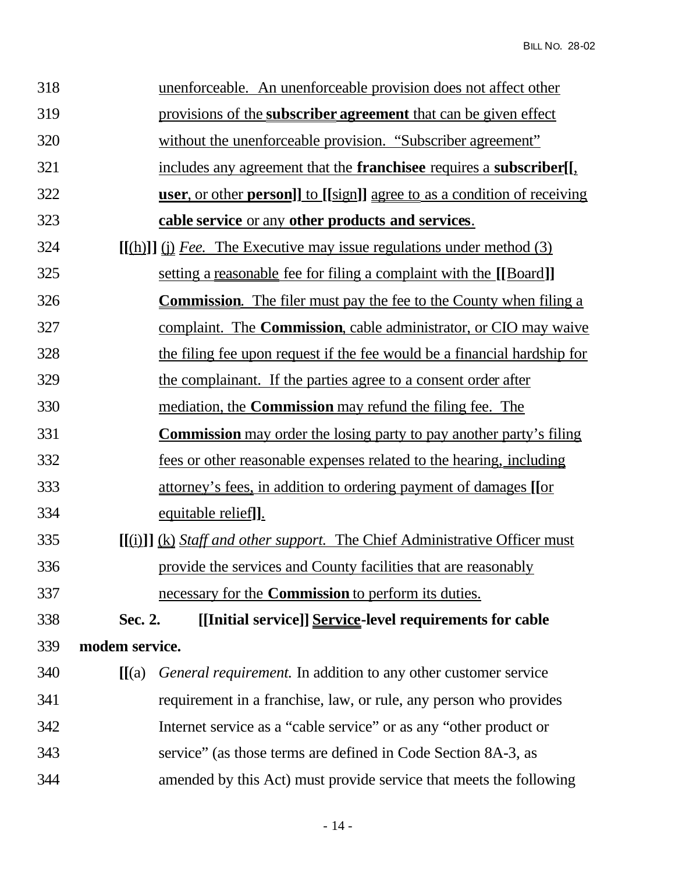| 318 |                | unenforceable. An unenforceable provision does not affect other                     |
|-----|----------------|-------------------------------------------------------------------------------------|
| 319 |                | provisions of the <b>subscriber agreement</b> that can be given effect              |
| 320 |                | without the unenforceable provision. "Subscriber agreement"                         |
| 321 |                | includes any agreement that the <b>franchisee</b> requires a <b>subscriber</b> [[1, |
| 322 |                | <u>user, or other person]] to [[sign]] agree to as a condition of receiving</u>     |
| 323 |                | cable service or any other products and services.                                   |
| 324 |                | $[(\text{h})]$ (i) Fee. The Executive may issue regulations under method (3)        |
| 325 |                | setting a reasonable fee for filing a complaint with the [[Board]]                  |
| 326 |                | <b>Commission.</b> The filer must pay the fee to the County when filing a           |
| 327 |                | complaint. The <b>Commission</b> , cable administrator, or CIO may waive            |
| 328 |                | the filing fee upon request if the fee would be a financial hardship for            |
| 329 |                | the complainant. If the parties agree to a consent order after                      |
| 330 |                | mediation, the <b>Commission</b> may refund the filing fee. The                     |
| 331 |                | <b>Commission</b> may order the losing party to pay another party's filing          |
| 332 |                | <u>fees or other reasonable expenses related to the hearing, including</u>          |
| 333 |                | attorney's fees, in addition to ordering payment of damages [[or                    |
| 334 |                | equitable relief].                                                                  |
| 335 |                | $[(i)]$ $(k)$ <i>Staff and other support.</i> The Chief Administrative Officer must |
| 336 |                | provide the services and County facilities that are reasonably                      |
| 337 |                | necessary for the <b>Commission</b> to perform its duties.                          |
| 338 | Sec. 2.        | [[Initial service]] Service-level requirements for cable                            |
| 339 | modem service. |                                                                                     |
| 340 | [[(a)          | <i>General requirement.</i> In addition to any other customer service               |
| 341 |                | requirement in a franchise, law, or rule, any person who provides                   |
| 342 |                | Internet service as a "cable service" or as any "other product or                   |
| 343 |                | service" (as those terms are defined in Code Section 8A-3, as                       |
| 344 |                | amended by this Act) must provide service that meets the following                  |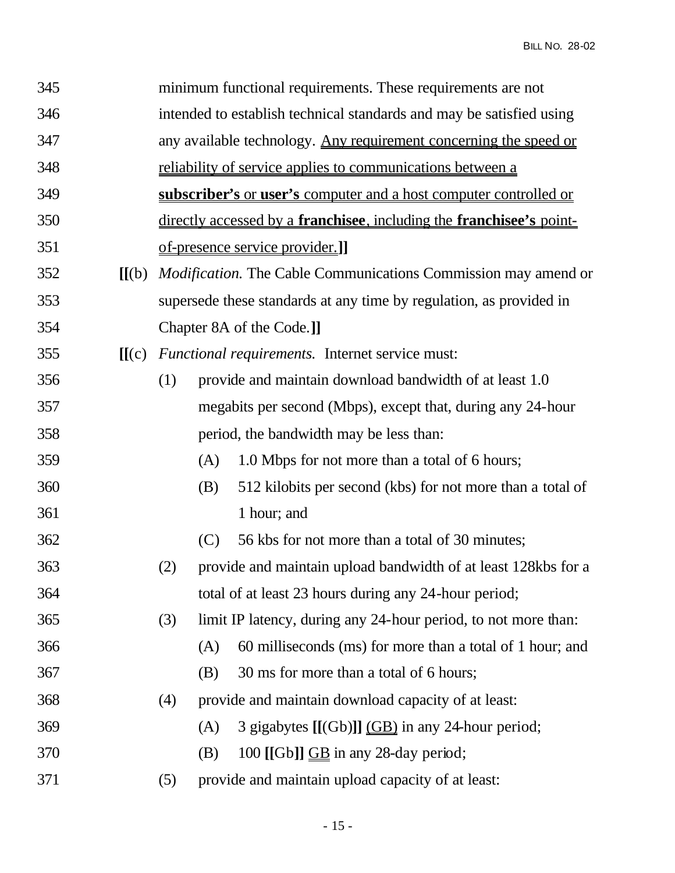| 345 |                                 | minimum functional requirements. These requirements are not                          |     |                                                                  |  |
|-----|---------------------------------|--------------------------------------------------------------------------------------|-----|------------------------------------------------------------------|--|
| 346 |                                 | intended to establish technical standards and may be satisfied using                 |     |                                                                  |  |
| 347 |                                 | any available technology. Any requirement concerning the speed or                    |     |                                                                  |  |
| 348 |                                 | <u>reliability of service applies to communications between a</u>                    |     |                                                                  |  |
| 349 |                                 | subscriber's or user's computer and a host computer controlled or                    |     |                                                                  |  |
| 350 |                                 | directly accessed by a <b>franchisee</b> , including the <b>franchisee</b> 's point- |     |                                                                  |  |
| 351 |                                 | <u>of-presence service provider.]</u>                                                |     |                                                                  |  |
| 352 | $\left[\right]$ $\left[\right]$ | <i>Modification</i> . The Cable Communications Commission may amend or               |     |                                                                  |  |
| 353 |                                 | supersede these standards at any time by regulation, as provided in                  |     |                                                                  |  |
| 354 |                                 | Chapter 8A of the Code.]]                                                            |     |                                                                  |  |
| 355 | [[(c)]                          | Functional requirements. Internet service must:                                      |     |                                                                  |  |
| 356 |                                 | (1)                                                                                  |     | provide and maintain download bandwidth of at least 1.0          |  |
| 357 |                                 |                                                                                      |     | megabits per second (Mbps), except that, during any 24-hour      |  |
| 358 |                                 |                                                                                      |     | period, the bandwidth may be less than:                          |  |
| 359 |                                 |                                                                                      | (A) | 1.0 Mbps for not more than a total of 6 hours;                   |  |
| 360 |                                 |                                                                                      | (B) | 512 kilobits per second (kbs) for not more than a total of       |  |
| 361 |                                 |                                                                                      |     | 1 hour; and                                                      |  |
| 362 |                                 |                                                                                      | (C) | 56 kbs for not more than a total of 30 minutes;                  |  |
| 363 |                                 | (2)                                                                                  |     | provide and maintain upload bandwidth of at least 128kbs for a   |  |
| 364 |                                 | total of at least 23 hours during any 24-hour period;                                |     |                                                                  |  |
| 365 |                                 | (3)                                                                                  |     | limit IP latency, during any 24-hour period, to not more than:   |  |
| 366 |                                 |                                                                                      | (A) | 60 milliseconds (ms) for more than a total of 1 hour; and        |  |
| 367 |                                 |                                                                                      | (B) | 30 ms for more than a total of 6 hours;                          |  |
| 368 |                                 | (4)                                                                                  |     | provide and maintain download capacity of at least:              |  |
| 369 |                                 |                                                                                      | (A) | 3 gigabytes $[[(Gb)]]$ $\underline{(GB)}$ in any 24-hour period; |  |
| 370 |                                 |                                                                                      | (B) | 100 [[Gb]] $\underline{GB}$ in any 28-day period;                |  |
| 371 |                                 | (5)                                                                                  |     | provide and maintain upload capacity of at least:                |  |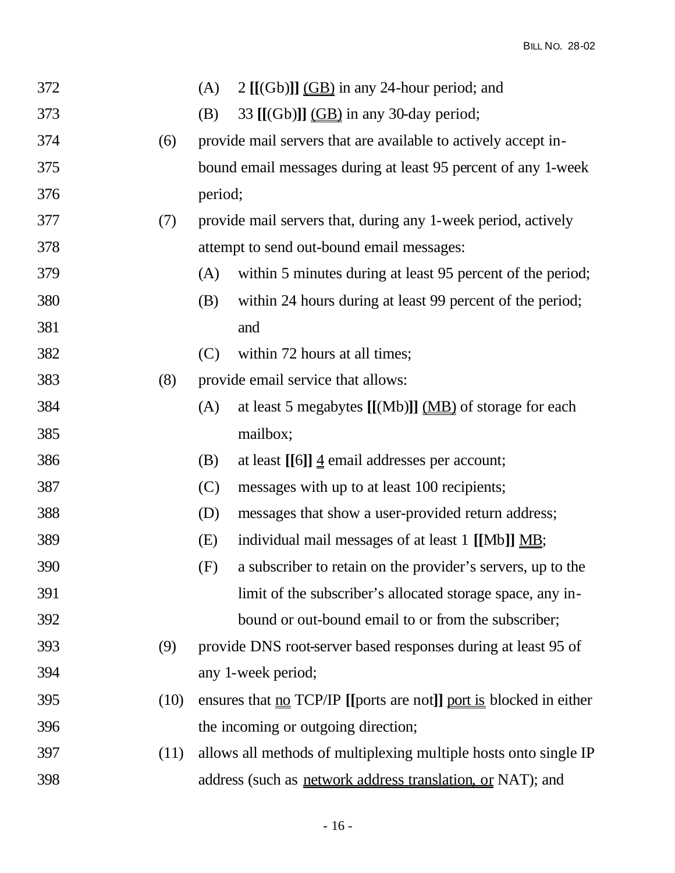|      | (A)                                                            | $2$ [[(Gb)]] $(BB)$ in any 24-hour period; and                                          |
|------|----------------------------------------------------------------|-----------------------------------------------------------------------------------------|
|      | (B)                                                            | 33 $[[(Gb)]]$ $\underline{(GB)}$ in any 30-day period;                                  |
| (6)  | provide mail servers that are available to actively accept in- |                                                                                         |
|      | bound email messages during at least 95 percent of any 1-week  |                                                                                         |
|      | period;                                                        |                                                                                         |
| (7)  |                                                                | provide mail servers that, during any 1-week period, actively                           |
|      |                                                                | attempt to send out-bound email messages:                                               |
|      | (A)                                                            | within 5 minutes during at least 95 percent of the period;                              |
|      | (B)                                                            | within 24 hours during at least 99 percent of the period;                               |
|      |                                                                | and                                                                                     |
|      | (C)                                                            | within 72 hours at all times;                                                           |
| (8)  |                                                                | provide email service that allows:                                                      |
|      | (A)                                                            | at least 5 megabytes $[[(Mb)]] \underline{(MB)}$ of storage for each                    |
|      |                                                                | mailbox;                                                                                |
|      | (B)                                                            | at least [[6]] $\frac{4}{9}$ email addresses per account;                               |
|      | (C)                                                            | messages with up to at least 100 recipients;                                            |
|      | (D)                                                            | messages that show a user-provided return address;                                      |
|      | (E)                                                            | individual mail messages of at least 1 [[Mb]] MB;                                       |
|      | (F)                                                            | a subscriber to retain on the provider's servers, up to the                             |
|      |                                                                | limit of the subscriber's allocated storage space, any in-                              |
|      |                                                                | bound or out-bound email to or from the subscriber;                                     |
| (9)  |                                                                | provide DNS root-server based responses during at least 95 of                           |
|      | any 1-week period;                                             |                                                                                         |
| (10) |                                                                | ensures that $\underline{no}$ TCP/IP [[ports are not]] <u>port is</u> blocked in either |
|      | the incoming or outgoing direction;                            |                                                                                         |
| (11) |                                                                | allows all methods of multiplexing multiple hosts onto single IP                        |
|      |                                                                | address (such as network address translation, or NAT); and                              |
|      |                                                                |                                                                                         |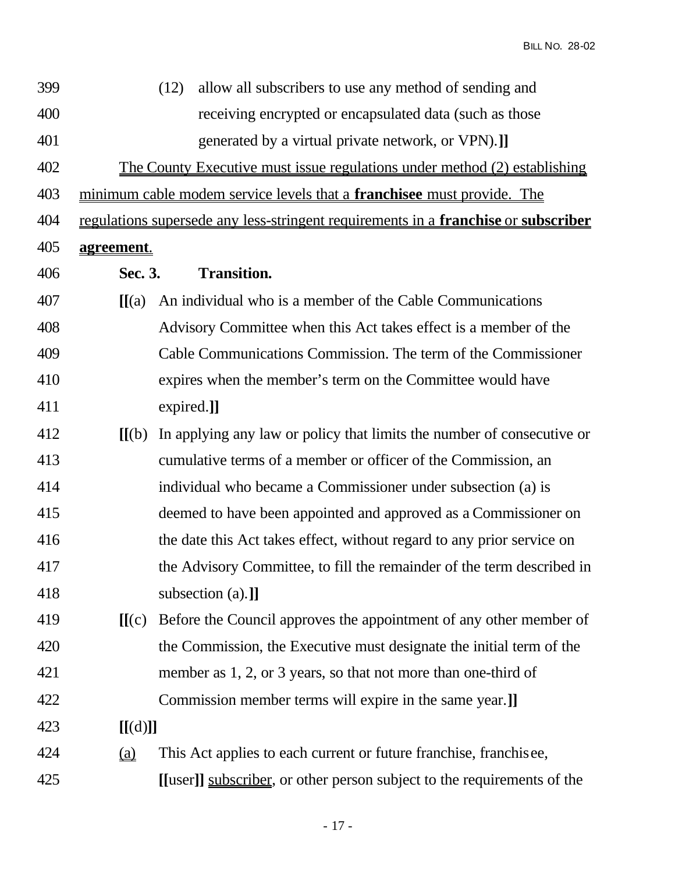BILL NO. 28-02

| 399 |                          | allow all subscribers to use any method of sending and<br>(12)                     |
|-----|--------------------------|------------------------------------------------------------------------------------|
| 400 |                          | receiving encrypted or encapsulated data (such as those                            |
| 401 |                          | generated by a virtual private network, or VPN).]                                  |
| 402 |                          | <u>The County Executive must issue regulations under method (2) establishing</u>   |
| 403 |                          | minimum cable modem service levels that a <b>franchisee</b> must provide. The      |
| 404 |                          | regulations supersede any less-stringent requirements in a franchise or subscriber |
| 405 | agreement.               |                                                                                    |
| 406 | Sec. 3.                  | <b>Transition.</b>                                                                 |
| 407 | $\Pi(a)$                 | An individual who is a member of the Cable Communications                          |
| 408 |                          | Advisory Committee when this Act takes effect is a member of the                   |
| 409 |                          | Cable Communications Commission. The term of the Commissioner                      |
| 410 |                          | expires when the member's term on the Committee would have                         |
| 411 |                          | expired.]]                                                                         |
| 412 | $\mathbf{H}(\mathbf{b})$ | In applying any law or policy that limits the number of consecutive or             |
| 413 |                          | cumulative terms of a member or officer of the Commission, an                      |
| 414 |                          | individual who became a Commissioner under subsection (a) is                       |
| 415 |                          | deemed to have been appointed and approved as a Commissioner on                    |
| 416 |                          | the date this Act takes effect, without regard to any prior service on             |
| 417 |                          | the Advisory Committee, to fill the remainder of the term described in             |
| 418 |                          | subsection (a).]                                                                   |
| 419 | [[(c)]                   | Before the Council approves the appointment of any other member of                 |
| 420 |                          | the Commission, the Executive must designate the initial term of the               |
| 421 |                          | member as 1, 2, or 3 years, so that not more than one-third of                     |
| 422 |                          | Commission member terms will expire in the same year.]                             |
| 423 | [[(d)]]                  |                                                                                    |
| 424 |                          | This Act applies to each current or future franchise, franchisee,                  |
| 425 |                          | [[user]] subscriber, or other person subject to the requirements of the            |